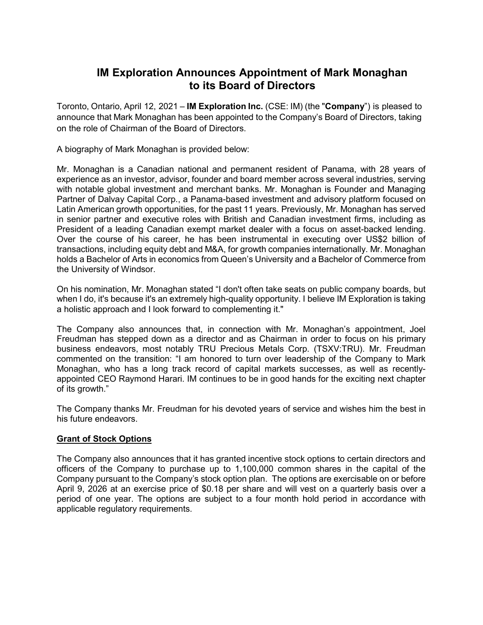## IM Exploration Announces Appointment of Mark Monaghan to its Board of Directors

Toronto, Ontario, April 12, 2021 – **IM Exploration Inc.** (CSE: IM) (the "**Company**") is pleased to announce that Mark Monaghan has been appointed to the Company's Board of Directors, taking on the role of Chairman of the Board of Directors.

A biography of Mark Monaghan is provided below:

Mr. Monaghan is a Canadian national and permanent resident of Panama, with 28 years of experience as an investor, advisor, founder and board member across several industries, serving with notable global investment and merchant banks. Mr. Monaghan is Founder and Managing Partner of Dalvay Capital Corp., a Panama-based investment and advisory platform focused on Latin American growth opportunities, for the past 11 years. Previously, Mr. Monaghan has served in senior partner and executive roles with British and Canadian investment firms, including as President of a leading Canadian exempt market dealer with a focus on asset-backed lending. Over the course of his career, he has been instrumental in executing over US\$2 billion of transactions, including equity debt and M&A, for growth companies internationally. Mr. Monaghan holds a Bachelor of Arts in economics from Queen's University and a Bachelor of Commerce from the University of Windsor.

On his nomination, Mr. Monaghan stated "I don't often take seats on public company boards, but when I do, it's because it's an extremely high-quality opportunity. I believe IM Exploration is taking a holistic approach and I look forward to complementing it."

The Company also announces that, in connection with Mr. Monaghan's appointment, Joel Freudman has stepped down as a director and as Chairman in order to focus on his primary business endeavors, most notably TRU Precious Metals Corp. (TSXV:TRU). Mr. Freudman commented on the transition: "I am honored to turn over leadership of the Company to Mark Monaghan, who has a long track record of capital markets successes, as well as recentlyappointed CEO Raymond Harari. IM continues to be in good hands for the exciting next chapter of its growth."

The Company thanks Mr. Freudman for his devoted years of service and wishes him the best in his future endeavors.

## Grant of Stock Options

The Company also announces that it has granted incentive stock options to certain directors and officers of the Company to purchase up to 1,100,000 common shares in the capital of the Company pursuant to the Company's stock option plan. The options are exercisable on or before April 9, 2026 at an exercise price of \$0.18 per share and will vest on a quarterly basis over a period of one year. The options are subject to a four month hold period in accordance with applicable regulatory requirements.